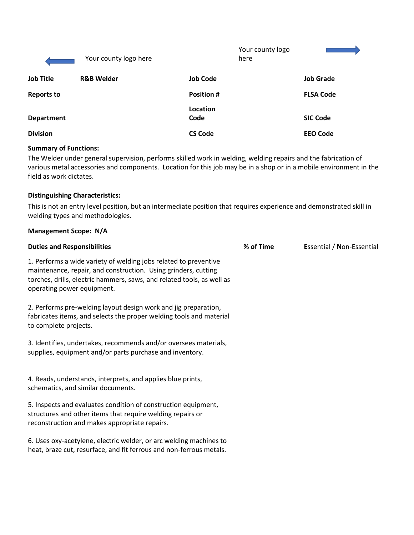|                   | Your county logo here |                  | Your county logo<br>here |                  |
|-------------------|-----------------------|------------------|--------------------------|------------------|
| <b>Job Title</b>  | <b>R&amp;B Welder</b> | <b>Job Code</b>  |                          | <b>Job Grade</b> |
| <b>Reports to</b> |                       | <b>Position#</b> |                          | <b>FLSA Code</b> |
| <b>Department</b> |                       | Location<br>Code |                          | <b>SIC Code</b>  |
| <b>Division</b>   |                       | <b>CS Code</b>   |                          | <b>EEO Code</b>  |

# **Summary of Functions:**

The Welder under general supervision, performs skilled work in welding, welding repairs and the fabrication of various metal accessories and components. Location for this job may be in a shop or in a mobile environment in the field as work dictates.

# **Distinguishing Characteristics:**

This is not an entry level position, but an intermediate position that requires experience and demonstrated skill in welding types and methodologies.

| <b>Management Scope: N/A</b>                                                                                                                                                                                                               |           |                           |
|--------------------------------------------------------------------------------------------------------------------------------------------------------------------------------------------------------------------------------------------|-----------|---------------------------|
| <b>Duties and Responsibilities</b>                                                                                                                                                                                                         | % of Time | Essential / Non-Essential |
| 1. Performs a wide variety of welding jobs related to preventive<br>maintenance, repair, and construction. Using grinders, cutting<br>torches, drills, electric hammers, saws, and related tools, as well as<br>operating power equipment. |           |                           |
| 2. Performs pre-welding layout design work and jig preparation,<br>fabricates items, and selects the proper welding tools and material<br>to complete projects.                                                                            |           |                           |
| 3. Identifies, undertakes, recommends and/or oversees materials,<br>supplies, equipment and/or parts purchase and inventory.                                                                                                               |           |                           |
| 4. Reads, understands, interprets, and applies blue prints,<br>schematics, and similar documents.                                                                                                                                          |           |                           |
| 5. Inspects and evaluates condition of construction equipment,<br>structures and other items that require welding repairs or<br>reconstruction and makes appropriate repairs.                                                              |           |                           |
| 6. Uses oxy-acetylene, electric welder, or arc welding machines to<br>heat, braze cut, resurface, and fit ferrous and non-ferrous metals.                                                                                                  |           |                           |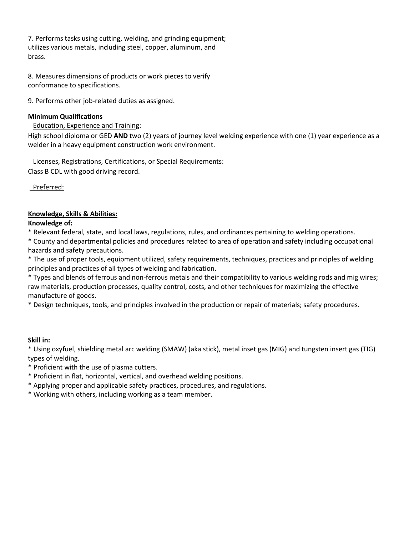7. Performs tasks using cutting, welding, and grinding equipment; utilizes various metals, including steel, copper, aluminum, and brass.

8. Measures dimensions of products or work pieces to verify conformance to specifications.

9. Performs other job-related duties as assigned.

# **Minimum Qualifications**

# Education, Experience and Training:

High school diploma or GED **AND** two (2) years of journey level welding experience with one (1) year experience as a welder in a heavy equipment construction work environment.

Licenses, Registrations, Certifications, or Special Requirements:

Class B CDL with good driving record.

Preferred:

# **Knowledge, Skills & Abilities:**

# **Knowledge of:**

\* Relevant federal, state, and local laws, regulations, rules, and ordinances pertaining to welding operations.

\* County and departmental policies and procedures related to area of operation and safety including occupational hazards and safety precautions.

\* The use of proper tools, equipment utilized, safety requirements, techniques, practices and principles of welding principles and practices of all types of welding and fabrication.

\* Types and blends of ferrous and non-ferrous metals and their compatibility to various welding rods and mig wires; raw materials, production processes, quality control, costs, and other techniques for maximizing the effective manufacture of goods.

\* Design techniques, tools, and principles involved in the production or repair of materials; safety procedures.

### **Skill in:**

\* Using oxyfuel, shielding metal arc welding (SMAW) (aka stick), metal inset gas (MIG) and tungsten insert gas (TIG) types of welding.

- \* Proficient with the use of plasma cutters.
- \* Proficient in flat, horizontal, vertical, and overhead welding positions.
- \* Applying proper and applicable safety practices, procedures, and regulations.
- \* Working with others, including working as a team member.